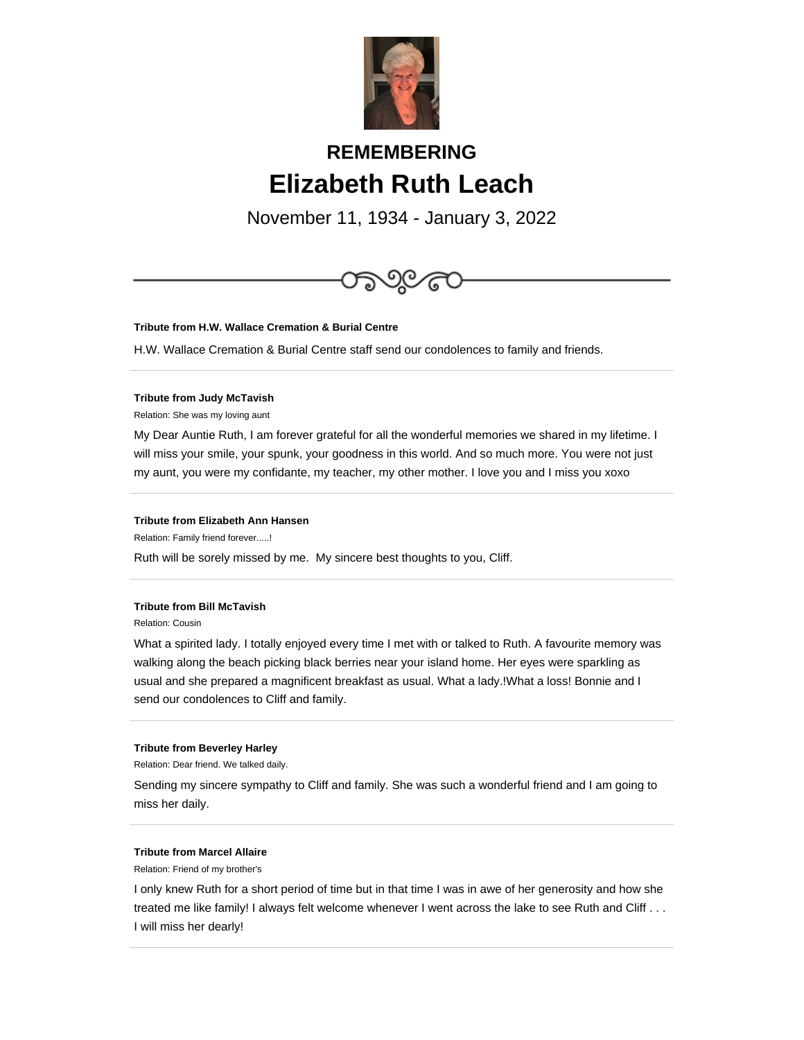

# **REMEMBERING Elizabeth Ruth Leach**

November 11, 1934 - January 3, 2022



#### **Tribute from H.W. Wallace Cremation & Burial Centre**

H.W. Wallace Cremation & Burial Centre staff send our condolences to family and friends.

#### **Tribute from Judy McTavish**

Relation: She was my loving aunt

My Dear Auntie Ruth, I am forever grateful for all the wonderful memories we shared in my lifetime. I will miss your smile, your spunk, your goodness in this world. And so much more. You were not just my aunt, you were my confidante, my teacher, my other mother. I love you and I miss you xoxo

#### **Tribute from Elizabeth Ann Hansen**

Relation: Family friend forever.....!

Ruth will be sorely missed by me. My sincere best thoughts to you, Cliff.

#### **Tribute from Bill McTavish**

Relation: Cousin

What a spirited lady. I totally enjoyed every time I met with or talked to Ruth. A favourite memory was walking along the beach picking black berries near your island home. Her eyes were sparkling as usual and she prepared a magnificent breakfast as usual. What a lady.!What a loss! Bonnie and I send our condolences to Cliff and family.

#### **Tribute from Beverley Harley**

Relation: Dear friend. We talked daily.

Sending my sincere sympathy to Cliff and family. She was such a wonderful friend and I am going to miss her daily.

#### **Tribute from Marcel Allaire**

Relation: Friend of my brother's

I only knew Ruth for a short period of time but in that time I was in awe of her generosity and how she treated me like family! I always felt welcome whenever I went across the lake to see Ruth and Cliff . . . I will miss her dearly!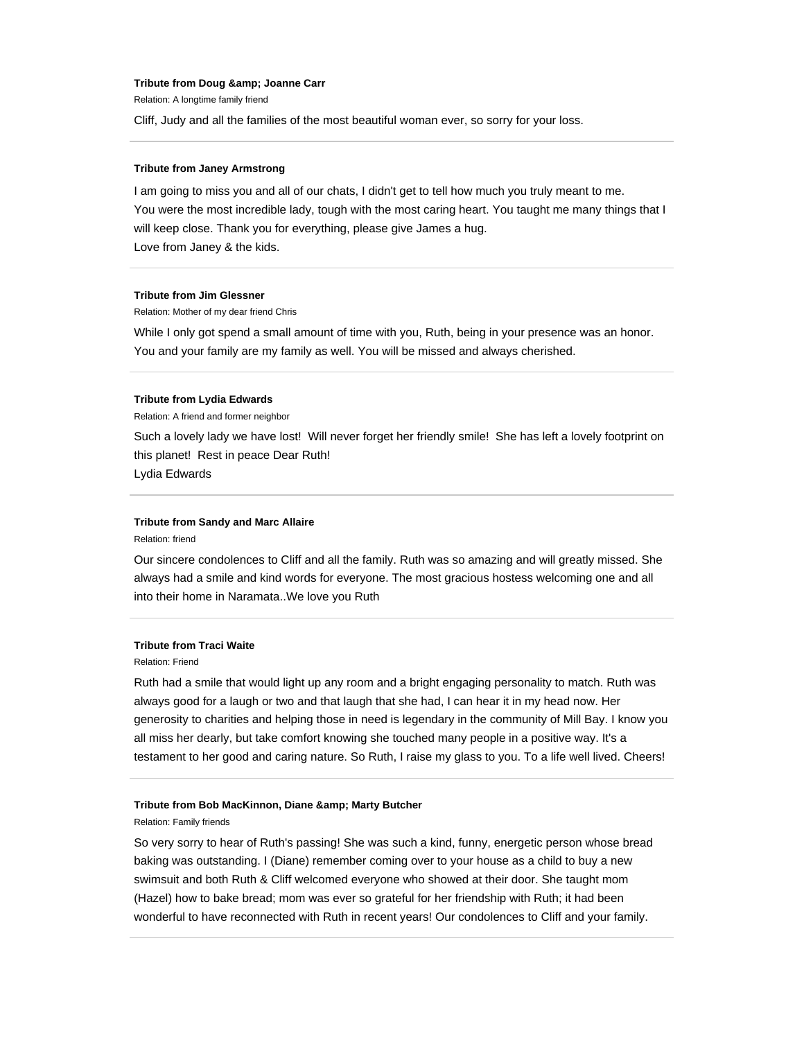#### **Tribute from Doug & amp; Joanne Carr**

Relation: A longtime family friend

Cliff, Judy and all the families of the most beautiful woman ever, so sorry for your loss.

#### **Tribute from Janey Armstrong**

I am going to miss you and all of our chats, I didn't get to tell how much you truly meant to me. You were the most incredible lady, tough with the most caring heart. You taught me many things that I will keep close. Thank you for everything, please give James a hug. Love from Janey & the kids.

#### **Tribute from Jim Glessner**

Relation: Mother of my dear friend Chris

While I only got spend a small amount of time with you, Ruth, being in your presence was an honor. You and your family are my family as well. You will be missed and always cherished.

#### **Tribute from Lydia Edwards**

Relation: A friend and former neighbor

Such a lovely lady we have lost! Will never forget her friendly smile! She has left a lovely footprint on this planet! Rest in peace Dear Ruth! Lydia Edwards

## **Tribute from Sandy and Marc Allaire**

Relation: friend

Our sincere condolences to Cliff and all the family. Ruth was so amazing and will greatly missed. She always had a smile and kind words for everyone. The most gracious hostess welcoming one and all into their home in Naramata..We love you Ruth

### **Tribute from Traci Waite**

Relation: Friend

Ruth had a smile that would light up any room and a bright engaging personality to match. Ruth was always good for a laugh or two and that laugh that she had, I can hear it in my head now. Her generosity to charities and helping those in need is legendary in the community of Mill Bay. I know you all miss her dearly, but take comfort knowing she touched many people in a positive way. It's a testament to her good and caring nature. So Ruth, I raise my glass to you. To a life well lived. Cheers!

#### **Tribute from Bob MacKinnon, Diane & amp; Marty Butcher**

Relation: Family friends

So very sorry to hear of Ruth's passing! She was such a kind, funny, energetic person whose bread baking was outstanding. I (Diane) remember coming over to your house as a child to buy a new swimsuit and both Ruth & Cliff welcomed everyone who showed at their door. She taught mom (Hazel) how to bake bread; mom was ever so grateful for her friendship with Ruth; it had been wonderful to have reconnected with Ruth in recent years! Our condolences to Cliff and your family.